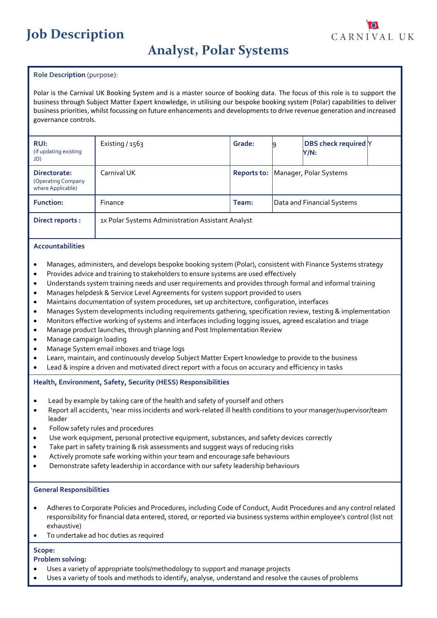# **Job Description**

# **Analyst, Polar Systems**

# **Role Description** (purpose):

Polar is the Carnival UK Booking System and is a master source of booking data. The focus of this role is to support the business through Subject Matter Expert knowledge, in utilising our bespoke booking system (Polar) capabilities to deliver business priorities, whilst focussing on future enhancements and developments to drive revenue generation and increased governance controls.

| <b>RUI:</b><br>(if updating existing<br>JD)             | Existing $/1563$                                  | Grade:      |                            | <b>DBS</b> check required Y<br>Y/N: |  |  |
|---------------------------------------------------------|---------------------------------------------------|-------------|----------------------------|-------------------------------------|--|--|
| Directorate:<br>(Operating Company<br>where Applicable) | Carnival UK                                       | Reports to: | Manager, Polar Systems     |                                     |  |  |
| <b>Function:</b>                                        | Finance                                           | Team:       | Data and Financial Systems |                                     |  |  |
| Direct reports :                                        | 1x Polar Systems Administration Assistant Analyst |             |                            |                                     |  |  |

#### **Accountabilities**

- Manages, administers, and develops bespoke booking system (Polar), consistent with Finance Systems strategy
- Provides advice and training to stakeholders to ensure systems are used effectively
- Understands system training needs and user requirements and provides through formal and informal training
- Manages helpdesk & Service Level Agreements for system support provided to users
- Maintains documentation of system procedures, set up architecture, configuration, interfaces
- Manages System developments including requirements gathering, specification review, testing & implementation
- Monitors effective working of systems and interfaces including logging issues, agreed escalation and triage
- Manage product launches, through planning and Post Implementation Review
- Manage campaign loading
- Manage System email inboxes and triage logs
- Learn, maintain, and continuously develop Subject Matter Expert knowledge to provide to the business
- Lead & inspire a driven and motivated direct report with a focus on accuracy and efficiency in tasks

# **Health, Environment, Safety, Security (HESS) Responsibilities**

- Lead by example by taking care of the health and safety of yourself and others
- Report all accidents, 'near miss incidents and work-related ill health conditions to your manager/supervisor/team leader
- Follow safety rules and procedures
- Use work equipment, personal protective equipment, substances, and safety devices correctly
- Take part in safety training & risk assessments and suggest ways of reducing risks
- Actively promote safe working within your team and encourage safe behaviours
- Demonstrate safety leadership in accordance with our safety leadership behaviours

#### **General Responsibilities**

- Adheres to Corporate Policies and Procedures, including Code of Conduct, Audit Procedures and any control related responsibility for financial data entered, stored, or reported via business systems within employee's control (list not exhaustive)
- To undertake ad hoc duties as required

# **Scope:**

#### **Problem solving:**

- Uses a variety of appropriate tools/methodology to support and manage projects
- Uses a variety of tools and methods to identify, analyse, understand and resolve the causes of problems